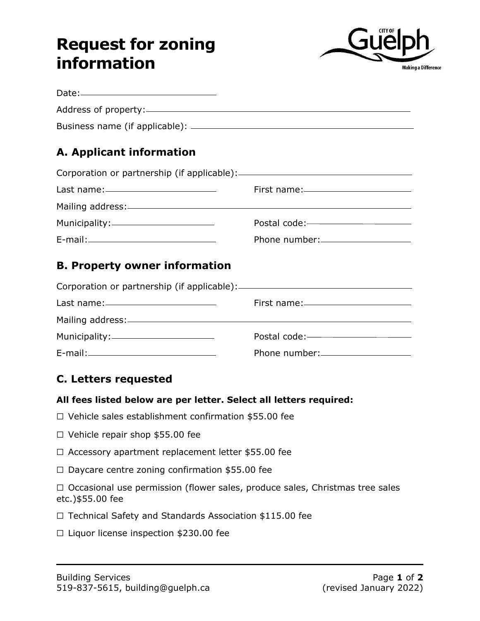## **Request for zoning information**



| Date:————————————————                                                                                                                                                                                                                |                                      |
|--------------------------------------------------------------------------------------------------------------------------------------------------------------------------------------------------------------------------------------|--------------------------------------|
|                                                                                                                                                                                                                                      |                                      |
|                                                                                                                                                                                                                                      |                                      |
| A. Applicant information                                                                                                                                                                                                             |                                      |
|                                                                                                                                                                                                                                      |                                      |
| Last name: <u>and the set of the set of the set of the set of the set of the set of the set of the set of the set of the set of the set of the set of the set of the set of the set of the set of the set of the set of the set </u> |                                      |
|                                                                                                                                                                                                                                      |                                      |
|                                                                                                                                                                                                                                      |                                      |
|                                                                                                                                                                                                                                      | Phone number:____________________    |
| <b>B. Property owner information</b>                                                                                                                                                                                                 |                                      |
|                                                                                                                                                                                                                                      |                                      |
|                                                                                                                                                                                                                                      | First name:_________________________ |
|                                                                                                                                                                                                                                      |                                      |
| Municipality: Number of Alliance and Alliance and Alliance and Alliance and Alliance and Alliance and Alliance                                                                                                                       |                                      |
|                                                                                                                                                                                                                                      | Phone number:                        |

## **C. Letters requested**

## **All fees listed below are per letter. Select all letters required:**

- ☐ Vehicle sales establishment confirmation \$55.00 fee
- ☐ Vehicle repair shop \$55.00 fee
- ☐ Accessory apartment replacement letter \$55.00 fee
- ☐ Daycare centre zoning confirmation \$55.00 fee

□ Occasional use permission (flower sales, produce sales, Christmas tree sales etc.)\$55.00 fee

- ☐ Technical Safety and Standards Association \$115.00 fee
- ☐ Liquor license inspection \$230.00 fee